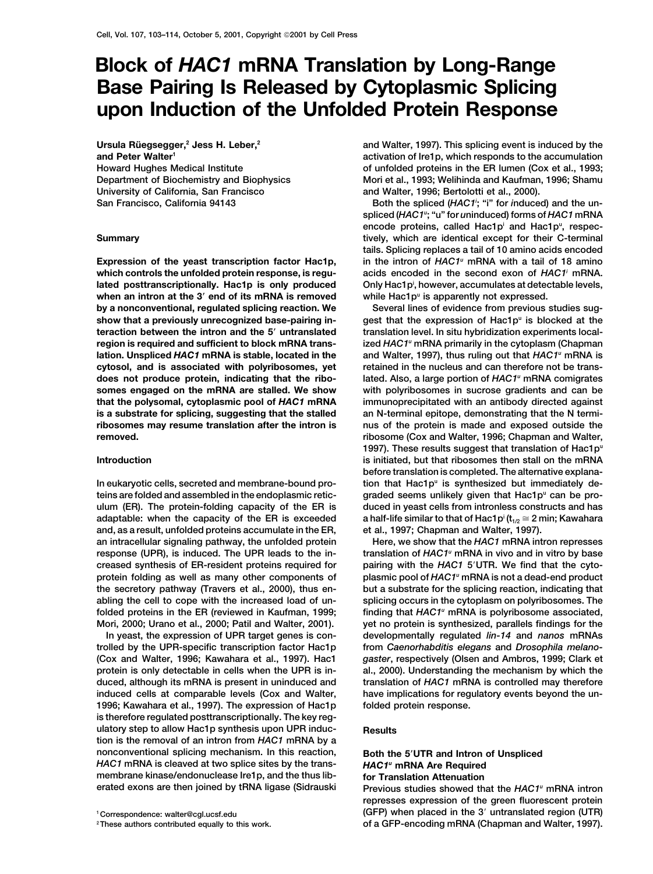# **Block of** *HAC1* **mRNA Translation by Long-Range Base Pairing Is Released by Cytoplasmic Splicing upon Induction of the Unfolded Protein Response**

**Ursula Ru¨ egsegger,2 Jess H. Leber,2 and Peter Walter1 Howard Hughes Medical Institute Department of Biochemistry and Biophysics University of California, San Francisco** San Francisco, California 94143

when an intron at the 3' end of its mRNA is removed while Hac1p<sup>u</sup> is apparently not expressed. **by a nonconventional, regulated splicing reaction. We Several lines of evidence from previous studies sugshow that a previously unrecognized base-pairing in- gest that the expression of Hac1pu is blocked at the teraction between the intron and the 5 untranslated translation level. In situ hybridization experiments localregion is required and sufficient to block mRNA trans- ized** *HAC1u* **mRNA primarily in the cytoplasm (Chapman and Walter, 1997), thus ruling out that** *HAC1* **lation. Unspliced** *HAC1* **mRNA is stable, located in the** *<sup>u</sup>* **mRNA is cytosol, and is associated with polyribosomes, yet retained in the nucleus and can therefore not be translated. Also, a large portion of** *HAC1* **does not produce protein, indicating that the ribo-** *<sup>u</sup>* **mRNA comigrates somes engaged on the mRNA are stalled. We show with polyribosomes in sucrose gradients and can be that the polysomal, cytoplasmic pool of** *HAC1* **mRNA immunoprecipitated with an antibody directed against is a substrate for splicing, suggesting that the stalled an N-terminal epitope, demonstrating that the N termiribosomes may resume translation after the intron is nus of the protein is made and exposed outside the removed. ribosome (Cox and Walter, 1996; Chapman and Walter,**

teins are folded and assembled in the endoplasmic retic- graded seems unlikely given that Hac1p<sup>u</sup> can be pro**ulum (ER). The protein-folding capacity of the ER is duced in yeast cells from intronless constructs and has adaptable: when the capacity of the ER is exceeded a half-life similar to that of Hac1p<sup>i</sup> (t<sub>1/2</sub>**  $\cong$  **2 min; Kawahara and, as a result, unfolded proteins accumulate in the ER, et al., 1997; Chapman and Walter, 1997). an intracellular signaling pathway, the unfolded protein Here, we show that the** *HAC1* **mRNA intron represses translation of** *HAC1* **response (UPR), is induced. The UPR leads to the in-** *<sup>u</sup>* **mRNA in vivo and in vitro by base creased synthesis of ER-resident proteins required for pairing with the** *HAC1* **5UTR. We find that the cytoplasmic pool of** *HAC1* **protein folding as well as many other components of** *<sup>u</sup>* **mRNA is not a dead-end product the secretory pathway (Travers et al., 2000), thus en- but a substrate for the splicing reaction, indicating that abling the cell to cope with the increased load of un- splicing occurs in the cytoplasm on polyribosomes. The folded proteins in the ER (reviewed in Kaufman, 1999; finding that** *HAC1u* **mRNA is polyribosome associated, Mori, 2000; Urano et al., 2000; Patil and Walter, 2001). yet no protein is synthesized, parallels findings for the**

**trolled by the UPR-specific transcription factor Hac1p from** *Caenorhabditis elegans* **and** *Drosophila melano-* **(Cox and Walter, 1996; Kawahara et al., 1997). Hac1** *gaster***, respectively (Olsen and Ambros, 1999; Clark et protein is only detectable in cells when the UPR is in- al., 2000). Understanding the mechanism by which the duced, although its mRNA is present in uninduced and translation of** *HAC1* **mRNA is controlled may therefore induced cells at comparable levels (Cox and Walter, have implications for regulatory events beyond the un-1996; Kawahara et al., 1997). The expression of Hac1p folded protein response. is therefore regulated posttranscriptionally. The key regulatory step to allow Hac1p synthesis upon UPR induc- Results tion is the removal of an intron from** *HAC1* **mRNA by a nonconventional splicing mechanism. In this reaction, Both the 5UTR and Intron of Unspliced** *HAC1* **mRNA is cleaved at two splice sites by the trans-** *HAC1u* **mRNA Are Required membrane kinase/endonuclease Ire1p, and the thus lib- for Translation Attenuation**

**and Walter, 1997). This splicing event is induced by the activation of Ire1p, which responds to the accumulation of unfolded proteins in the ER lumen (Cox et al., 1993; Mori et al., 1993; Welihinda and Kaufman, 1996; Shamu and Walter, 1996; Bertolotti et al., 2000).**

Both the spliced (HAC1<sup>'</sup>; "i" for *induced*) and the un**spliced (***HAC1u* **; "u" for** *u***ninduced) forms of** *HAC1* **mRNA encode proteins, called Hac1pi and Hac1pu , respec-Summary tively, which are identical except for their C-terminal tails. Splicing replaces a tail of 10 amino acids encoded Expression of the yeast transcription factor Hac1p, and the intron of HAC1<sup>u</sup> mRNA with a tail of 18 amino which controls the unfolded protein response, is regu- acids encoded in the second exon of** *HAC1i* **mRNA. Only Hac1pi lated posttranscriptionally. Hac1p is only produced , however, accumulates at detectable levels,**

**1997). These results suggest that translation of Hac1pu Introduction is initiated, but that ribosomes then stall on the mRNA before translation is completed. The alternative explanation that Hac1pu In eukaryotic cells, secreted and membrane-bound pro- is synthesized but immediately de-**

**In yeast, the expression of UPR target genes is con- developmentally regulated** *lin-14* **and** *nanos* **mRNAs**

**Previous studies showed that the HAC1<sup>u</sup> mRNA intron represses expression of the green fluorescent protein <sup>1</sup> Correspondence: walter@cgl.ucsf.edu (GFP) when placed in the 3 untranslated region (UTR) 2These authors contributed equally to this work. of a GFP-encoding mRNA (Chapman and Walter, 1997).**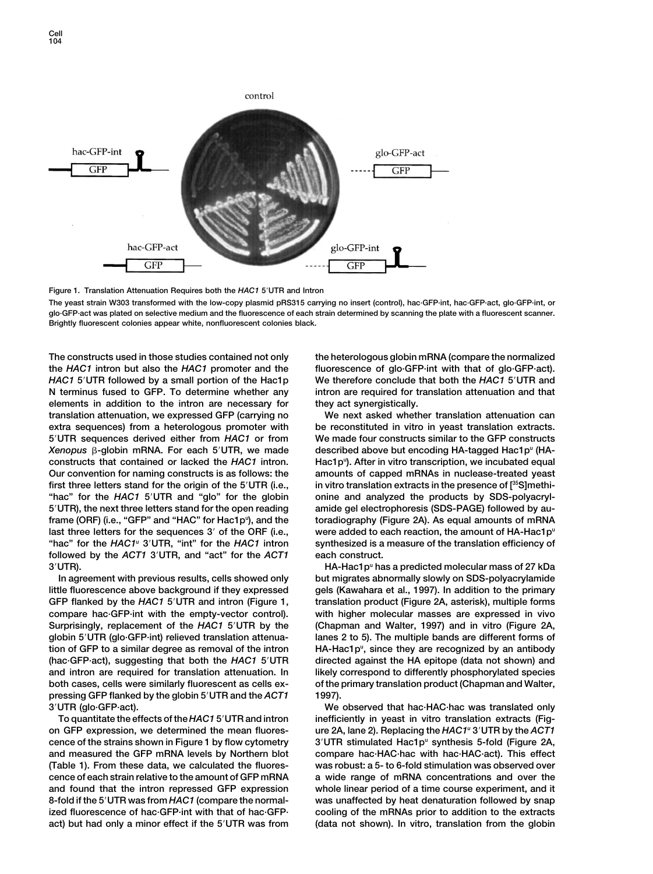

**Figure 1. Translation Attenuation Requires both the** *HAC1* **5UTR and Intron**

**The yeast strain W303 transformed with the low-copy plasmid pRS315 carrying no insert (control), hac·GFP·int, hac·GFP·act, glo·GFP·int, or glo·GFP·act was plated on selective medium and the fluorescence of each strain determined by scanning the plate with a fluorescent scanner. Brightly fluorescent colonies appear white, nonfluorescent colonies black.**

**The constructs used in those studies contained not only the heterologous globin mRNA (compare the normalized the** *HAC1* **intron but also the** *HAC1* **promoter and the fluorescence of glo·GFP·int with that of glo·GFP·act).** *HAC1* **5UTR followed by a small portion of the Hac1p We therefore conclude that both the** *HAC1* **5UTR and N terminus fused to GFP. To determine whether any intron are required for translation attenuation and that elements in addition to the intron are necessary for they act synergistically. translation attenuation, we expressed GFP (carrying no We next asked whether translation attenuation can extra sequences) from a heterologous promoter with be reconstituted in vitro in yeast translation extracts. 5UTR sequences derived either from** *HAC1* **or from We made four constructs similar to the GFP constructs**  $Xenopus$   $\beta$ -globin mRNA. For each  $5'UTR$ , we made **Hac1pu constructs that contained or lacked the** *HAC1* **intron. ). After in vitro transcription, we incubated equal Our convention for naming constructs is as follows: the amounts of capped mRNAs in nuclease-treated yeast in vitro translation extracts in the presence of [35 first three letters stand for the origin of the 5UTR (i.e., S]methi- "hac" for the** *HAC1* **5UTR and "glo" for the globin onine and analyzed the products by SDS-polyacryl-5UTR), the next three letters stand for the open reading amide gel electrophoresis (SDS-PAGE) followed by auframe (ORF) (i.e., "GFP" and "HAC" for Hac1pu were added to each reaction, the amount of HA-Hac1pu last three letters for the sequences 3 of the ORF (i.e., "hac" for the** *HAC1u* **3UTR, "int" for the** *HAC1* **intron synthesized is a measure of the translation efficiency of followed by the** *ACT1* **3UTR, and "act" for the** *ACT1* **each construct.**

**little fluorescence above background if they expressed gels (Kawahara et al., 1997). In addition to the primary GFP flanked by the** *HAC1* **5UTR and intron (Figure 1, translation product (Figure 2A, asterisk), multiple forms compare hac·GFP·int with the empty-vector control). with higher molecular masses are expressed in vivo Surprisingly, replacement of the** *HAC1* **5UTR by the (Chapman and Walter, 1997) and in vitro (Figure 2A, globin 5UTR (glo·GFP·int) relieved translation attenua- lanes 2 to 5). The multiple bands are different forms of HA-Hac1pu tion of GFP to a similar degree as removal of the intron , since they are recognized by an antibody (hac·GFP·act), suggesting that both the** *HAC1* **5UTR directed against the HA epitope (data not shown) and and intron are required for translation attenuation. In likely correspond to differently phosphorylated species both cases, cells were similarly fluorescent as cells ex- of the primary translation product (Chapman and Walter, pressing GFP flanked by the globin 5UTR and the** *ACT1* **1997). 3UTR (glo·GFP·act). We observed that hac·HAC·hac was translated only**

**on GFP expression, we determined the mean fluores- ure 2A, lane 2). Replacing the** *HAC1u* **3UTR by the** *ACT1* **3UTR stimulated Hac1pu cence of the strains shown in Figure 1 by flow cytometry synthesis 5-fold (Figure 2A, and measured the GFP mRNA levels by Northern blot compare hac·HAC·hac with hac·HAC·act). This effect (Table 1). From these data, we calculated the fluores- was robust: a 5- to 6-fold stimulation was observed over** cence of each strain relative to the amount of GFP mRNA a wide range of mRNA concentrations and over the **and found that the intron repressed GFP expression whole linear period of a time course experiment, and it 8-fold if the 5UTR was from** *HAC1* **(compare the normal- was unaffected by heat denaturation followed by snap ized fluorescence of hac·GFP·int with that of hac·GFP· cooling of the mRNAs prior to addition to the extracts act) but had only a minor effect if the 5UTR was from (data not shown). In vitro, translation from the globin**

described above but encoding HA-tagged Hac1p<sup>u</sup> (HA-**), and the toradiography (Figure 2A). As equal amounts of mRNA**

**3UTR). HA-Hac1pu has a predicted molecular mass of 27 kDa In agreement with previous results, cells showed only but migrates abnormally slowly on SDS-polyacrylamide**

**To quantitate the effects of the** *HAC1* **5UTR and intron inefficiently in yeast in vitro translation extracts (Fig-**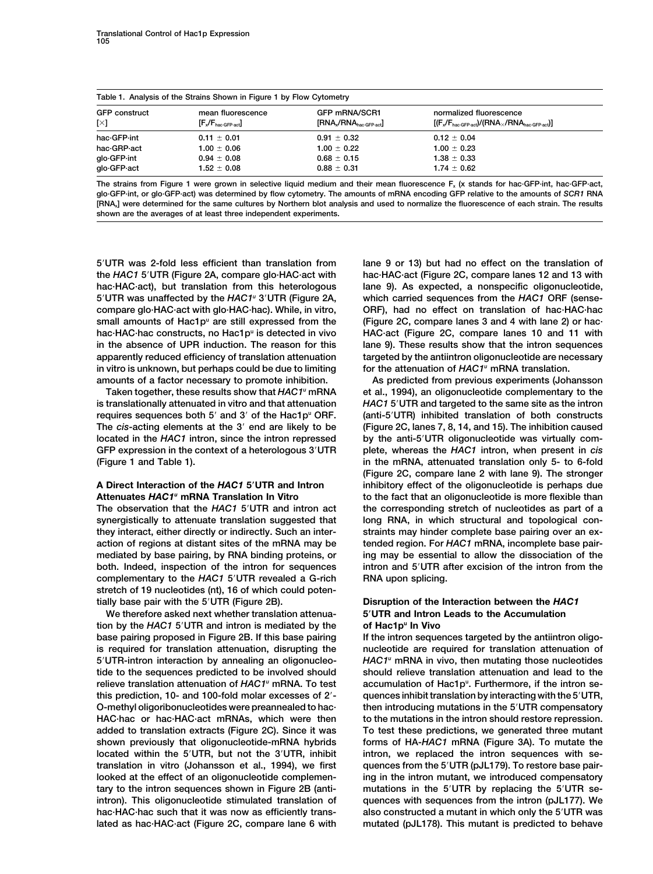| Table 1. Analysis of the Strains Shown in Figure 1 by Flow Cytometry |                                |                                       |                                                                   |  |  |  |  |  |  |  |
|----------------------------------------------------------------------|--------------------------------|---------------------------------------|-------------------------------------------------------------------|--|--|--|--|--|--|--|
| <b>GFP</b> construct                                                 | mean fluorescence              | <b>GFP mRNA/SCR1</b>                  | normalized fluorescence                                           |  |  |  |  |  |  |  |
| $[\times]$                                                           | $[F_x/F_{\text{hac-GFP-act}}]$ | $[RNA_{\rm x}/RNA_{\rm baccGFP-act}]$ | $[(F_x/F_{\text{hac-GFP-act}})/(RNA_x/RNA_{\text{hac-GFP-act}})]$ |  |  |  |  |  |  |  |
| hac-GFP-int                                                          | $0.11 \pm 0.01$                | $0.91 \pm 0.32$                       | $0.12 \pm 0.04$                                                   |  |  |  |  |  |  |  |
| hac-GRP-act                                                          | $1.00 \pm 0.06$                | $1.00 \pm 0.22$                       | $1.00 \pm 0.23$                                                   |  |  |  |  |  |  |  |
| glo-GFP-int                                                          | $0.94 \pm 0.08$                | $0.68 \pm 0.15$                       | $1.38 \pm 0.33$                                                   |  |  |  |  |  |  |  |
| glo-GFP-act                                                          | $1.52 \pm 0.08$                | $0.88 \pm 0.31$                       | $1.74 \pm 0.62$                                                   |  |  |  |  |  |  |  |

**The strains from Figure 1 were grown in selective liquid medium and their mean fluorescence Fx (x stands for hac·GFP·int, hac·GFP·act, glo·GFP·int, or glo·GFP·act) was determined by flow cytometry. The amounts of mRNA encoding GFP relative to the amounts of** *SCR1* **RNA [RNAx] were determined for the same cultures by Northern blot analysis and used to normalize the fluorescence of each strain. The results shown are the averages of at least three independent experiments.**

**5UTR was 2-fold less efficient than translation from lane 9 or 13) but had no effect on the translation of the** *HAC1* **5UTR (Figure 2A, compare glo·HAC·act with hac·HAC·act (Figure 2C, compare lanes 12 and 13 with hac·HAC·act), but translation from this heterologous lane 9). As expected, a nonspecific oligonucleotide, 5UTR was unaffected by the** *HAC1* **which carried sequences from the** *HAC1* **ORF (sense-** *<sup>u</sup>* **3UTR (Figure 2A, compare glo·HAC·act with glo·HAC·hac). While, in vitro, ORF), had no effect on translation of hac·HAC·hac** small amounts of Hac1p<sup>"</sup> are still expressed from the (Figure 2C, compare lanes 3 and 4 with lane 2) or hac**hac·HAC·hac constructs, no Hac1pu is detected in vivo HAC·act (Figure 2C, compare lanes 10 and 11 with in the absence of UPR induction. The reason for this lane 9). These results show that the intron sequences apparently reduced efficiency of translation attenuation targeted by the antiintron oligonucleotide are necessary for the attenuation of** *HAC1* **in vitro is unknown, but perhaps could be due to limiting** *<sup>u</sup>* **mRNA translation.**

synergistically to attenuate translation suggested that long RNA, in which structural and topological con**they interact, either directly or indirectly. Such an inter- straints may hinder complete base pairing over an exaction of regions at distant sites of the mRNA may be tended region. For** *HAC1* **mRNA, incomplete base pairmediated by base pairing, by RNA binding proteins, or ing may be essential to allow the dissociation of the both. Indeed, inspection of the intron for sequences intron and 5UTR after excision of the intron from the complementary to the** *HAC1* **5UTR revealed a G-rich RNA upon splicing. stretch of 19 nucleotides (nt), 16 of which could potentially base pair with the 5UTR (Figure 2B). Disruption of the Interaction between the** *HAC1*

**We therefore asked next whether translation attenua- 5UTR and Intron Leads to the Accumulation tion by the** *HAC1* **5UTR and intron is mediated by the of Hac1pu In Vivo base pairing proposed in Figure 2B. If this base pairing If the intron sequences targeted by the antiintron oligois required for translation attenuation, disrupting the nucleotide are required for translation attenuation of** *HAC1* **5UTR-intron interaction by annealing an oligonucleo-** *<sup>u</sup>* **mRNA in vivo, then mutating those nucleotides tide to the sequences predicted to be involved should should relieve translation attenuation and lead to the** relieve translation attenuation of HAC1<sup>u</sup> mRNA. To test accumulation of Hac1p<sup>u</sup>. Furthermore, if the intron se**this prediction, 10- and 100-fold molar excesses of 2- quences inhibit translation by interacting with the 5UTR, O-methyl oligoribonucleotides were preannealed to hac· then introducing mutations in the 5UTR compensatory HAC·hac or hac·HAC·act mRNAs, which were then to the mutations in the intron should restore repression. added to translation extracts (Figure 2C). Since it was To test these predictions, we generated three mutant shown previously that oligonucleotide-mRNA hybrids forms of HA-***HAC1* **mRNA (Figure 3A). To mutate the located within the 5UTR, but not the 3UTR, inhibit intron, we replaced the intron sequences with setranslation in vitro (Johansson et al., 1994), we first quences from the 5UTR (pJL179). To restore base pairlooked at the effect of an oligonucleotide complemen- ing in the intron mutant, we introduced compensatory tary to the intron sequences shown in Figure 2B (anti- mutations in the 5UTR by replacing the 5UTR seintron). This oligonucleotide stimulated translation of quences with sequences from the intron (pJL177). We hac·HAC·hac such that it was now as efficiently trans- also constructed a mutant in which only the 5UTR was lated as hac·HAC·act (Figure 2C, compare lane 6 with mutated (pJL178). This mutant is predicted to behave**

**amounts of a factor necessary to promote inhibition. As predicted from previous experiments (Johansson** Taken together, these results show that *HAC1*<sup>"</sup> mRNA et al., 1994), an oligonucleotide complementary to the **is translationally attenuated in vitro and that attenuation** *HAC1* **5UTR and targeted to the same site as the intron requires sequences both 5<sup>'</sup> and 3' of the Hac1p<sup>°</sup> ORF. (anti-5<sup>'</sup>UTR) inhibited translation of both constructs The** *cis***-acting elements at the 3 end are likely to be (Figure 2C, lanes 7, 8, 14, and 15). The inhibition caused located in the** *HAC1* **intron, since the intron repressed by the anti-5UTR oligonucleotide was virtually com-GFP expression in the context of a heterologous 3UTR plete, whereas the** *HAC1* **intron, when present in** *cis* **(Figure 1 and Table 1). in the mRNA, attenuated translation only 5- to 6-fold (Figure 2C, compare lane 2 with lane 9). The stronger A Direct Interaction of the** *HAC1* **5UTR and Intron inhibitory effect of the oligonucleotide is perhaps due Attenuates** *HAC1u* **mRNA Translation In Vitro to the fact that an oligonucleotide is more flexible than The observation that the** *HAC1* **5UTR and intron act the corresponding stretch of nucleotides as part of a**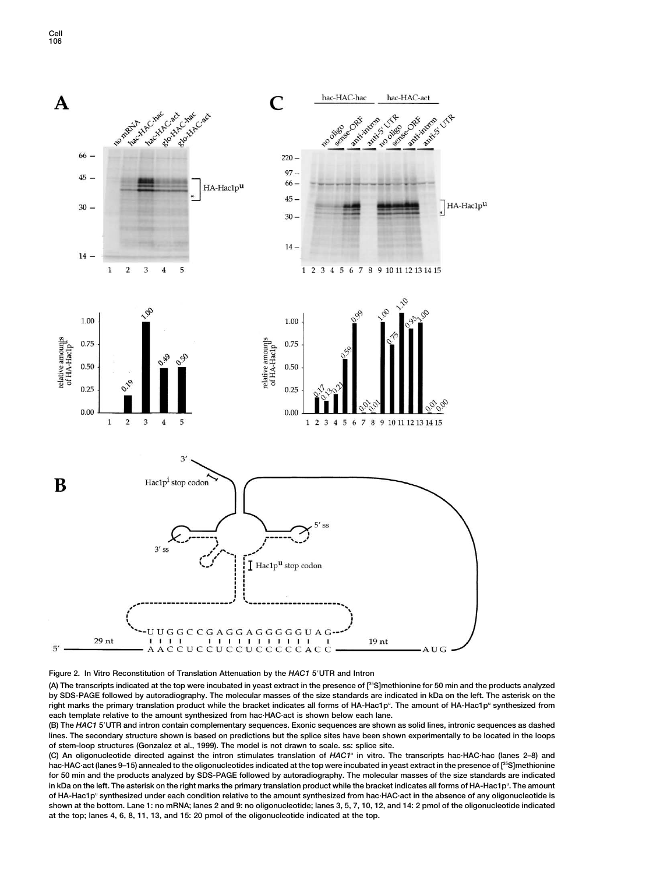

### **Figure 2. In Vitro Reconstitution of Translation Attenuation by the** *HAC1* **5UTR and Intron**

**(A) The transcripts indicated at the top were incubated in yeast extract in the presence of [35S]methionine for 50 min and the products analyzed by SDS-PAGE followed by autoradiography. The molecular masses of the size standards are indicated in kDa on the left. The asterisk on the** right marks the primary translation product while the bracket indicates all forms of HA-Hac1p<sup>u</sup>. The amount of HA-Hac1p<sup>u</sup> synthesized from **each template relative to the amount synthesized from hac·HAC·act is shown below each lane.**

**(B) The** *HAC1* **5UTR and intron contain complementary sequences. Exonic sequences are shown as solid lines, intronic sequences as dashed lines. The secondary structure shown is based on predictions but the splice sites have been shown experimentally to be located in the loops of stem-loop structures (Gonzalez et al., 1999). The model is not drawn to scale. ss: splice site.**

**(C) An oligonucleotide directed against the intron stimulates translation of** *HAC1u* **in vitro. The transcripts hac·HAC·hac (lanes 2–8) and hac·HAC·act (lanes 9–15) annealed to the oligonucleotides indicated at the top were incubated in yeast extract in the presence of [35S]methionine for 50 min and the products analyzed by SDS-PAGE followed by autoradiography. The molecular masses of the size standards are indicated** in kDa on the left. The asterisk on the right marks the primary translation product while the bracket indicates all forms of HA-Hac1p<sup>u</sup>. The amount of HA-Hac1p<sup>u</sup> synthesized under each condition relative to the amount synthesized from hac·HAC·act in the absence of any oligonucleotide is **shown at the bottom. Lane 1: no mRNA; lanes 2 and 9: no oligonucleotide; lanes 3, 5, 7, 10, 12, and 14: 2 pmol of the oligonucleotide indicated at the top; lanes 4, 6, 8, 11, 13, and 15: 20 pmol of the oligonucleotide indicated at the top.**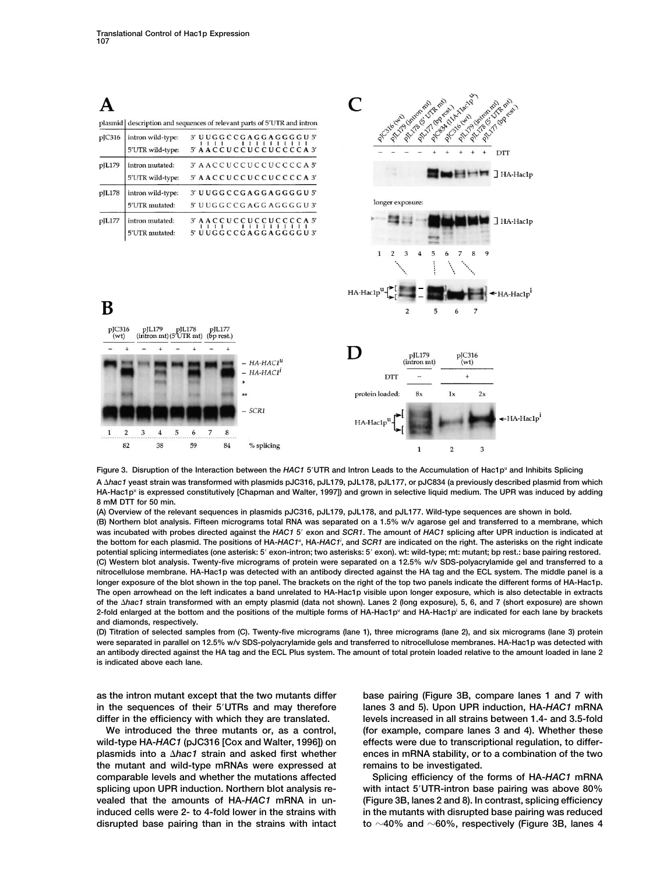|                   |                                     |                                                  |        |                      |    |                           |                                                                        |          |                                | PLY/B G UTE ma<br>PILITO (intron mi)<br>PALITY (Operation |   | Prostutt the text |        | 21-12-03-03-4-25-2    |
|-------------------|-------------------------------------|--------------------------------------------------|--------|----------------------|----|---------------------------|------------------------------------------------------------------------|----------|--------------------------------|-----------------------------------------------------------|---|-------------------|--------|-----------------------|
| plasmid           |                                     |                                                  |        |                      |    |                           | description and sequences of relevant parts of 5'UTR and intron        |          | PTC316 (SND)                   |                                                           |   |                   |        |                       |
| pJC316            |                                     | intron wild-type:<br>5'UTR wild-type:            |        |                      |    |                           | 3' UUGGCCGAGGAGGGGU 5'<br>1111111111<br>5' AACCUCCUCCUCCCCA 3'         |          |                                |                                                           |   |                   |        | DTT                   |
| pJL179            | intron mutated:                     | 5'UTR wild-type:                                 |        |                      |    |                           | 3' AACCUCCUCCUCCCCA5'<br>5' AACCUCCUCCUCCCCA3'                         |          |                                |                                                           |   |                   |        | $H$ $H$ A-Hac1p       |
| pJL178            | intron wild-type:<br>5'UTR mutated: |                                                  |        |                      |    |                           | 3' UUGGCCGAGGAGGGGU 5'<br>5' UUGGCCGAGGAGGGGU3'                        |          | longer exposure:               |                                                           |   |                   |        |                       |
| pJL177            | intron mutated:<br>5'UTR mutated:   |                                                  |        |                      |    |                           | 3' AACCUCCUCCUCCCCA 5'<br>T 1 1 1 1 1 1 1 1 1<br>5' UUGGCCGAGGAGGGGU3' |          |                                |                                                           |   |                   |        | HA-Hac1p              |
|                   |                                     |                                                  |        |                      |    |                           |                                                                        |          | $\mathbf{1}$<br>$\overline{2}$ | 3                                                         | 5 | 6                 | 8<br>9 |                       |
| В                 |                                     |                                                  |        |                      |    |                           |                                                                        | HA-Hac1p |                                | 2                                                         | 5 | 6                 | 7      | $+$ HA-Hac $1p^1$     |
| $p$ JC316<br>(wt) | pJL179                              | $(intron \text{ mt}) (5' \text{UTR} \text{ mt})$ | pIL178 | pJL177<br>(bp rest.) |    | $- H A - H A C1u$         |                                                                        |          |                                | pJL179<br>(intron mt)                                     |   | pJC316<br>(wt)    |        |                       |
|                   |                                     |                                                  |        |                      |    | $- H A-H A C1i$<br>$\ast$ |                                                                        |          | DTT                            |                                                           |   | $\ddot{}$         |        |                       |
|                   |                                     |                                                  |        |                      |    | **                        |                                                                        |          | protein loaded:                | 8x                                                        |   | 1x                | 2x     |                       |
| 1                 | $\overline{2}$<br>3                 | 5<br>4                                           | 6      | 7                    | 8  | $-$ SCR1                  |                                                                        | HA-Hac1p |                                |                                                           |   |                   |        | $\leftarrow$ HA-Hac1p |
|                   | 82                                  | 38                                               | 59     |                      | 84 | % splicing                |                                                                        |          |                                | 1                                                         |   | $\overline{2}$    | 3      |                       |

**Figure 3. Disruption of the Interaction between the** *HAC1* **5UTR and Intron Leads to the Accumulation of Hac1pu and Inhibits Splicing A** *hac1* **yeast strain was transformed with plasmids pJC316, pJL179, pJL178, pJL177, or pJC834 (a previously described plasmid from which** HA-Hac1p<sup>u</sup> is expressed constitutively [Chapman and Walter, 1997]) and grown in selective liquid medium. The UPR was induced by adding **8 mM DTT for 50 min.**

**(A) Overview of the relevant sequences in plasmids pJC316, pJL179, pJL178, and pJL177. Wild-type sequences are shown in bold.**

**(B) Northern blot analysis. Fifteen micrograms total RNA was separated on a 1.5% w/v agarose gel and transferred to a membrane, which was incubated with probes directed against the** *HAC1* **5 exon and** *SCR1***. The amount of** *HAC1* **splicing after UPR induction is indicated at** the bottom for each plasmid. The positions of HA-*HAC1<sup>u</sup>*, HA-*HAC1<sup>i</sup>,* and *SCR1* are indicated on the right. The asterisks on the right indicate **potential splicing intermediates (one asterisk: 5 exon-intron; two asterisks: 5 exon). wt: wild-type; mt: mutant; bp rest.: base pairing restored. (C) Western blot analysis. Twenty-five micrograms of protein were separated on a 12.5% w/v SDS-polyacrylamide gel and transferred to a nitrocellulose membrane. HA-Hac1p was detected with an antibody directed against the HA tag and the ECL system. The middle panel is a longer exposure of the blot shown in the top panel. The brackets on the right of the top two panels indicate the different forms of HA-Hac1p. The open arrowhead on the left indicates a band unrelated to HA-Hac1p visible upon longer exposure, which is also detectable in extracts of the** *hac1* **strain transformed with an empty plasmid (data not shown). Lanes 2 (long exposure), 5, 6, and 7 (short exposure) are shown** 2-fold enlarged at the bottom and the positions of the multiple forms of HA-Hac1p<sup>u</sup> and HA-Hac1p<sup>i</sup> are indicated for each lane by brackets **and diamonds, respectively.**

**(D) Titration of selected samples from (C). Twenty-five micrograms (lane 1), three micrograms (lane 2), and six micrograms (lane 3) protein were separated in parallel on 12.5% w/v SDS-polyacrylamide gels and transferred to nitrocellulose membranes. HA-Hac1p was detected with an antibody directed against the HA tag and the ECL Plus system. The amount of total protein loaded relative to the amount loaded in lane 2 is indicated above each lane.**

**the mutant and wild-type mRNAs were expressed at remains to be investigated. comparable levels and whether the mutations affected Splicing efficiency of the forms of HA-***HAC1* **mRNA splicing upon UPR induction. Northern blot analysis re- with intact 5UTR-intron base pairing was above 80% vealed that the amounts of HA-***HAC1* **mRNA in un- (Figure 3B, lanes 2 and 8). In contrast, splicing efficiency induced cells were 2- to 4-fold lower in the strains with in the mutants with disrupted base pairing was reduced**

**as the intron mutant except that the two mutants differ base pairing (Figure 3B, compare lanes 1 and 7 with in the sequences of their 5UTRs and may therefore lanes 3 and 5). Upon UPR induction, HA-***HAC1* **mRNA differ in the efficiency with which they are translated. levels increased in all strains between 1.4- and 3.5-fold We introduced the three mutants or, as a control, (for example, compare lanes 3 and 4). Whether these wild-type HA-***HAC1* **(pJC316 [Cox and Walter, 1996]) on effects were due to transcriptional regulation, to differplasmids into a** *hac1* **strain and asked first whether ences in mRNA stability, or to a combination of the two**

**disrupted base pairing than in the strains with intact to 40% and 60%, respectively (Figure 3B, lanes 4**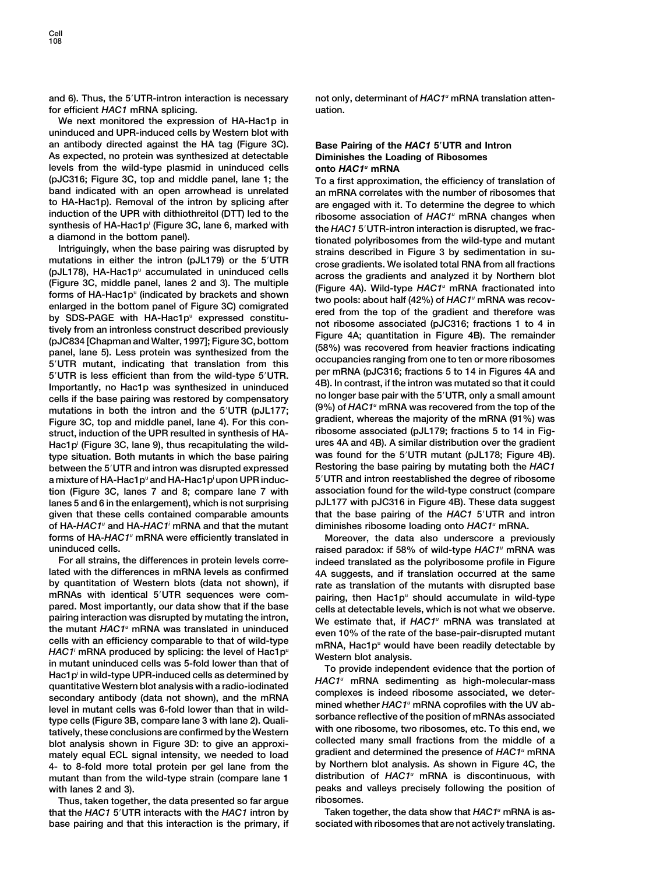**for efficient** *HAC1* **mRNA splicing. uation.**

**We next monitored the expression of HA-Hac1p in uninduced and UPR-induced cells by Western blot with an antibody directed against the HA tag (Figure 3C). Base Pairing of the** *HAC1* **5UTR and Intron As expected, no protein was synthesized at detectable Diminishes the Loading of Ribosomes levels from the wild-type plasmid in uninduced cells onto** *HAC1u* **mRNA (pJC316; Figure 3C, top and middle panel, lane 1; the To a first approximation, the efficiency of translation of band indicated with an open arrowhead is unrelated** an mRNA correlates with the number of ribosomes that to HA-Hac1p). Removal of the intron by splicing after are engaged with it. To determine the degree to which **to HA-Hac1p). Removal of the intron by splicing after are engaged with it. To determine the degree to which**

Importantly, no Hac1p was synthesized in uninduced<br>cells if the base pairing was restored by compensatory<br>mutations in both the intron and the 5'UTR (pJL177;<br>Figure 3C, top and middle panel, lane 4). For this con-<br>gradient **ribosome associated (pJL179; fractions 5 to 14 in Fig-**<br> **ribosome associated (pJL179; fractions 5 to 14 in Fig-**<br> **Hac1n<sup>i</sup> (Figure 3C, Jane 9)** thus recapitulating the wild-<br> **ures 4A and 4B).** A similar distribution ov Hac1p<sup>i</sup> (Figure 3C, lane 9), thus recapitulating the wild-<br>type situation, Both mutants in which the base pairing was found for the 5'UTR mutant (pJL178; Figure 4B). **type situation. Both mutants in which the base pairing** was found for the 5<sup>*r*</sup> UTR mutant (pJL178; Figure 4B).<br>**hetween the 5<sup>***r***</sup> UTR and intron was disrupted expressed Restoring the base pairing by mutating both the H between the 5<sup>'</sup>UTR and intron was disrupted expressed** a mixture of HA-Hac1p<sup>u</sup> and HA-Hac1p<sup>i</sup> upon UPR induc**tion (Figure 3C, lanes 7 and 8; compare lane 7 with association found for the wild-type construct (compare lanes 5 and 6 in the enlargement), which is not surprising pJL177 with pJC316 in Figure 4B). These data suggest given that these cells contained comparable amounts that the base pairing of the** *HAC1* **5UTR and intron of HA-***HAC1u* **and HA-***HAC1i* **mRNA and that the mutant diminishes ribosome loading onto** *HAC1u* **mRNA. forms of HA-***HAC1u* **mRNA were efficiently translated in Moreover, the data also underscore a previously**

**For all strains, the differences in protein levels corre- indeed translated as the polyribosome profile in Figure by quantitation of Western blots (data not shown), if rate as translation of the mutants with disrupted base** mRNAs with identical 5'UTR sequences were com-<br>pairing, then  $\text{Hac1p}^{\text{u}}$  should accumulate in wild-type<br>pairing interaction was disrupted by mutating the intron,<br>the mutant  $\text{HAC1}^{\text{u}}$  mRNA was translated in unin the mutant *HAC1* mHNA was translated in uninduced<br>cells with an efficiency comparable to that of wild-type<br> $HAC1'$  mRNA produced by splicing: the level of Hac1p<sup>u</sup><br>Western blot analysis.<br>Western blot analysis. Finally spin in the two contract in that of<br>
Hac1p' in wild-type UPR-induced cells as determined by<br>
quantitative Western blot analysis with a radio-iodinated<br>
secondary antibody (data not shown), and the mRNA<br>
level in m sorbance reflective of the position of mRNAs associated<br>tatively, these conclusions are confirmed by the Western<br>blot analysis shown in Figure 3D: to give an approxi-<br>mately equal ECL signal intensity, we needed to load gr mately equal ECL signal intensity, we needed to load<br>4- to 8-fold more total protein per gel lane from the by Northern blot analysis. As shown in Figure 4C, the<br>mutant than from the wild-type strain (compare lane 1 distrib mutant than from the wild-type strain (compare lane 1 **with lanes 2 and 3). peaks and valleys precisely following the position of**

**Thus, taken together, the data presented so far argue ribosomes. Taken together, the data show that** *HAC1* **that the** *HAC1* **5UTR interacts with the** *HAC1* **intron by** *<sup>u</sup>* **mRNA is asbase pairing and that this interaction is the primary, if sociated with ribosomes that are not actively translating.**

**and 6). Thus, the 5UTR-intron interaction is necessary not only, determinant of** *HAC1u* **mRNA translation atten-**

induction of the UPR with dithiothreitol (DTT) led to the<br>
synthesis of HAC1<sup>#</sup> mRNA changes when<br>
synthesis of HA-HaC1 p<sup>i</sup> (Figure 3C, lane 6, marked with<br>
a diamond in the bottom panel).<br>
Intriguingly, when the base pa **upon UPR induc- 5UTR and intron reestablished the degree of ribosome**

**uninduced cells. raised paradox: if 58% of wild-type** *HAC1u* **mRNA was 4A suggests, and if translation occurred at the same**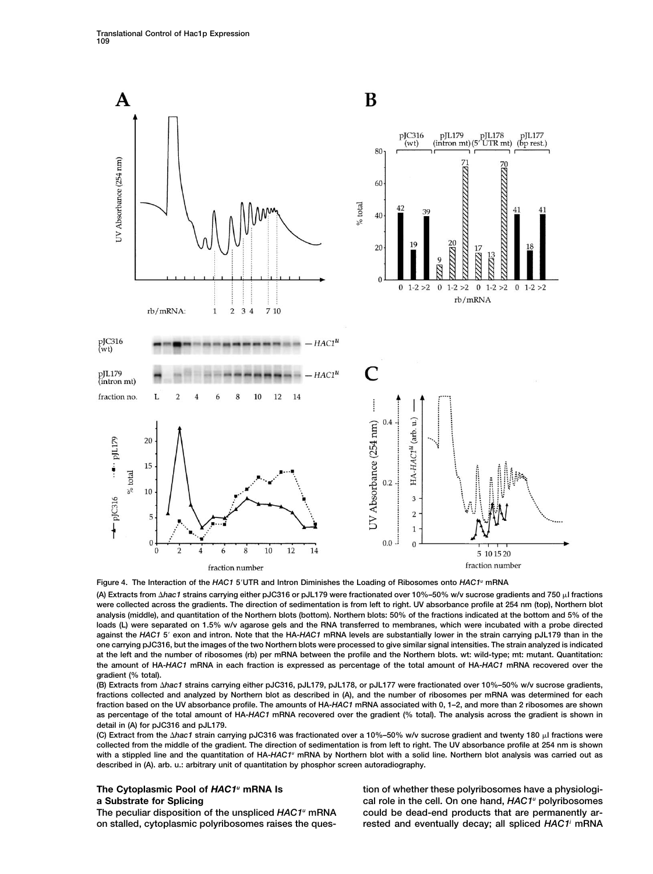

**Figure 4. The Interaction of the** *HAC1* **5UTR and Intron Diminishes the Loading of Ribosomes onto** *HAC1u* **mRNA**

**(A) Extracts from** *hac1* **strains carrying either pJC316 or pJL179 were fractionated over 10%–50% w/v sucrose gradients and 750 l fractions were collected across the gradients. The direction of sedimentation is from left to right. UV absorbance profile at 254 nm (top), Northern blot analysis (middle), and quantitation of the Northern blots (bottom). Northern blots: 50% of the fractions indicated at the bottom and 5% of the loads (L) were separated on 1.5% w/v agarose gels and the RNA transferred to membranes, which were incubated with a probe directed against the** *HAC1* **5 exon and intron. Note that the HA-***HAC1* **mRNA levels are substantially lower in the strain carrying pJL179 than in the one carrying pJC316, but the images of the two Northern blots were processed to give similar signal intensities. The strain analyzed is indicated at the left and the number of ribosomes (rb) per mRNA between the profile and the Northern blots. wt: wild-type; mt: mutant. Quantitation: the amount of HA-***HAC1* **mRNA in each fraction is expressed as percentage of the total amount of HA-***HAC1* **mRNA recovered over the gradient (% total).**

**(B) Extracts from** *hac1* **strains carrying either pJC316, pJL179, pJL178, or pJL177 were fractionated over 10%–50% w/v sucrose gradients, fractions collected and analyzed by Northern blot as described in (A), and the number of ribosomes per mRNA was determined for each fraction based on the UV absorbance profile. The amounts of HA-***HAC1* **mRNA associated with 0, 1–2, and more than 2 ribosomes are shown as percentage of the total amount of HA-***HAC1* **mRNA recovered over the gradient (% total). The analysis across the gradient is shown in detail in (A) for pJC316 and pJL179.**

**(C) Extract from the** *hac1* **strain carrying pJC316 was fractionated over a 10%–50% w/v sucrose gradient and twenty 180 l fractions were collected from the middle of the gradient. The direction of sedimentation is from left to right. The UV absorbance profile at 254 nm is shown** with a stippled line and the quantitation of HA-*HAC1<sup>u</sup>* mRNA by Northern blot with a solid line. Northern blot analysis was carried out as **described in (A). arb. u.: arbitrary unit of quantitation by phosphor screen autoradiography.**

The peculiar disposition of the unspliced *HAC1<sup>u</sup>* mRNA could be dead-end products that are permanently ar**rested and eventually decay; all spliced** *HAC1* **on stalled, cytoplasmic polyribosomes raises the ques-** *<sup>i</sup>* **mRNA**

**The Cytoplasmic Pool of** *HAC1u* **mRNA Is tion of whether these polyribosomes have a physiologia Substrate for Splicing <b>polyricial interpretate for Splicing polyribosomes cal role in the cell. On one hand,**  $HAC1^u$  **polyribosomes**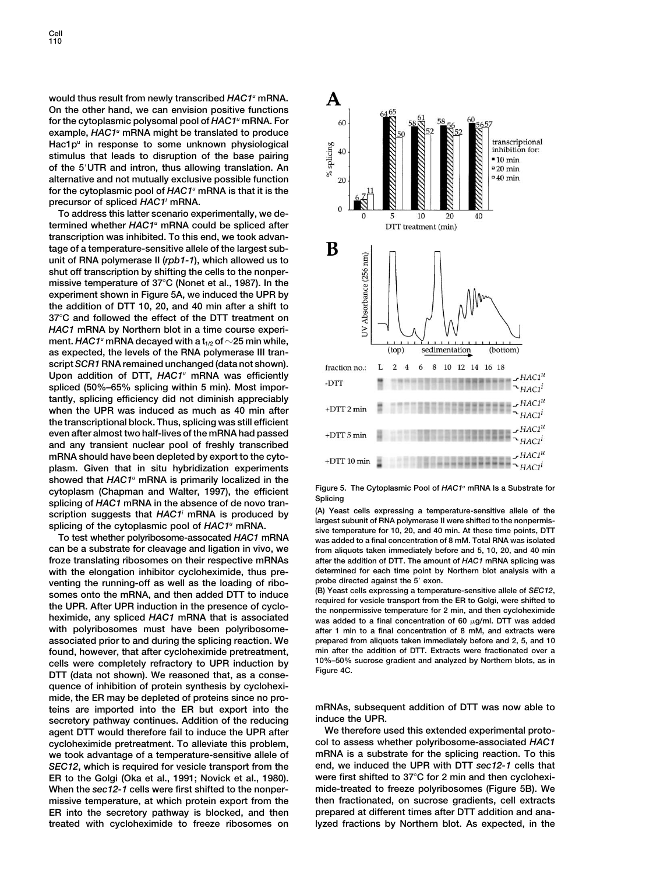**Cell 110**

**would thus result from newly transcribed** *HAC1u* **mRNA. On the other hand, we can envision positive functions for the cytoplasmic polysomal pool of** *HAC1u* **mRNA. For example,** *HAC1u* **mRNA might be translated to produce Hac1pu in response to some unknown physiological stimulus that leads to disruption of the base pairing of the 5UTR and intron, thus allowing translation. An alternative and not mutually exclusive possible function for the cytoplasmic pool of** *HAC1u* **mRNA is that it is the precursor of spliced** *HAC1i* **mRNA.**

**To address this latter scenario experimentally, we determined whether** *HAC1u* **mRNA could be spliced after transcription was inhibited. To this end, we took advantage of a temperature-sensitive allele of the largest subunit of RNA polymerase II (***rpb1-1***), which allowed us to shut off transcription by shifting the cells to the nonpermissive temperature of 37C (Nonet et al., 1987). In the experiment shown in Figure 5A, we induced the UPR by the addition of DTT 10, 20, and 40 min after a shift to 37C and followed the effect of the DTT treatment on** *HAC1* **mRNA by Northern blot in a time course experi**ment.  $HAC1^u$  mRNA decayed with a  $t_{1/2}$  of  $\sim$  25 min while, **as expected, the levels of the RNA polymerase III transcript** *SCR1* **RNA remained unchanged (data not shown). Upon addition of DTT,** *HAC1u* **mRNA was efficiently spliced (50%–65% splicing within 5 min). Most importantly, splicing efficiency did not diminish appreciably when the UPR was induced as much as 40 min after the transcriptional block. Thus, splicing was still efficient even after almost two half-lives of the mRNA had passed and any transient nuclear pool of freshly transcribed mRNA should have been depleted by export to the cytoplasm. Given that in situ hybridization experiments showed that** *HAC1u* **mRNA is primarily localized in the** cytoplasm (Chapman and Walter, 1997), the efficient<br>splicing of HAC1 mRNA in the absence of de novo tran-<br>splicing and the splicing of HAC1 mRNA in the absence of de novo tran-<br>(A) Yeast cells expressing a temperature-sens

**can be a substrate for cleavage and ligation in vivo, we from aliquots taken immediately before and 5, 10, 20, and 40 min froze translating ribosomes on their respective mRNAs after the addition of DTT. The amount of** *HAC1* **mRNA splicing was** with the elongation inhibitor cycloheximide, thus pre-<br>venting the running off as well as the looding of ribe and probe directed against the 5' exon. venting the running-off as well as the loading of ribo-<br>somes onto the mRNA, and then added DTT to induce<br>the UPR. After UPR induction in the presence of cyclo-<br>heximide, any spliced HAC1 mRNA that is associated<br>was added **associated prior to and during the splicing reaction. We prepared from aliquots taken immediately before and 2, 5, and 10 found, however, that after cycloheximide pretreatment, min after the addition of DTT. Extracts were fractionated over a** cells were completely refractory to UPR induction by  $10\% - 50\%$ <br>DTT (data not shown). We reasoned that, as a conse**quence of inhibition of protein synthesis by cycloheximide, the ER may be depleted of proteins since no proteins are imported into the ER but export into the mRNAs, subsequent addition of DTT was now able to secretory pathway continues. Addition of the reducing induce the UPR. agent DTT would therefore fail to induce the UPR after We therefore used this extended experimental proto**cycloheximide pretreatment. To alleviate this problem, **we took advantage of a temperature-sensitive allele of mRNA is a substrate for the splicing reaction. To this** *SEC12***, which is required for vesicle transport from the end, we induced the UPR with DTT** *sec12-1* **cells that ER to the Golgi (Oka et al., 1991; Novick et al., 1980). When the** *sec12-1* **cells were first shifted to the nonper- mide-treated to freeze polyribosomes (Figure 5B). We missive temperature, at which protein export from the then fractionated, on sucrose gradients, cell extracts ER into the secretory pathway is blocked, and then prepared at different times after DTT addition and anatreated with cycloheximide to freeze ribosomes on lyzed fractions by Northern blot. As expected, in the**



scription suggests that  $HAC1^i$  mRNA is produced by the state of the cytoplasmic pool of  $HAC1^i$  mRNA.<br>Splicing of the cytoplasmic pool of  $HAC1^u$  mRNA.<br>To test whether polyribosome-assocated  $HAC1$  mRNA sive temperature f

after 1 min to a final concentration of 8 mM, and extracts were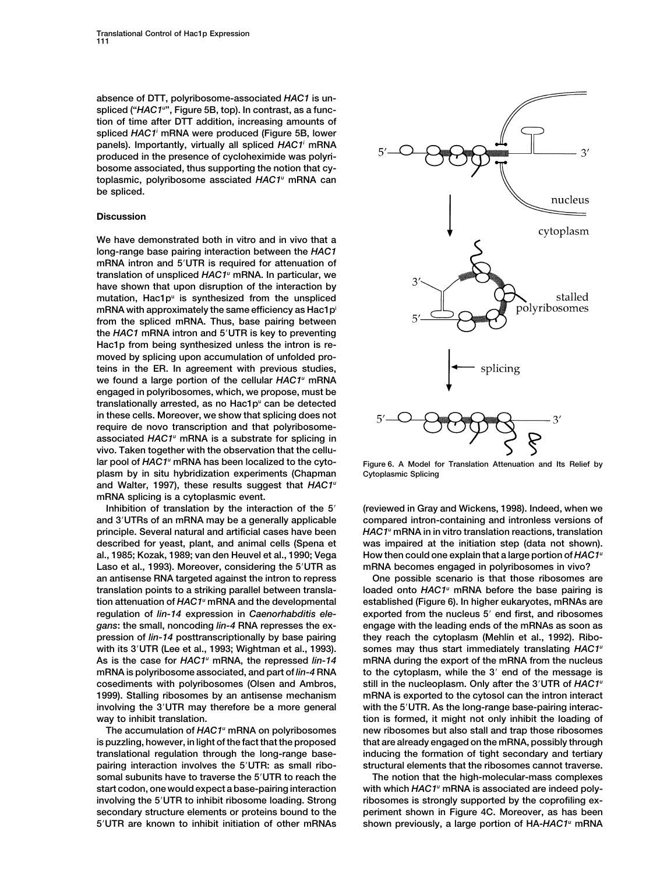**absence of DTT, polyribosome-associated** *HAC1* **is unspliced ("***HAC1u* **", Figure 5B, top). In contrast, as a function of time after DTT addition, increasing amounts of spliced** *HAC1i* **mRNA were produced (Figure 5B, lower panels). Importantly, virtually all spliced** *HAC1i* **mRNA produced in the presence of cycloheximide was polyribosome associated, thus supporting the notion that cytoplasmic, polyribosome assciated** *HAC1u* **mRNA can be spliced.**

## **Discussion**

**We have demonstrated both in vitro and in vivo that a long-range base pairing interaction between the** *HAC1* **mRNA intron and 5UTR is required for attenuation of translation of unspliced** *HAC1u* **mRNA. In particular, we have shown that upon disruption of the interaction by mutation, Hac1pu is synthesized from the unspliced mRNA with approximately the same efficiency as Hac1pi from the spliced mRNA. Thus, base pairing between the** *HAC1* **mRNA intron and 5UTR is key to preventing Hac1p from being synthesized unless the intron is removed by splicing upon accumulation of unfolded proteins in the ER. In agreement with previous studies, we found a large portion of the cellular** *HAC1u* **mRNA engaged in polyribosomes, which, we propose, must be translationally arrested, as no Hac1pu can be detected in these cells. Moreover, we show that splicing does not require de novo transcription and that polyribosomeassociated** *HAC1u* **mRNA is a substrate for splicing in vivo. Taken together with the observation that the cellular pool of** *HAC1u* **mRNA has been localized to the cyto- Figure 6. A Model for Translation Attenuation and Its Relief by plasm by in situ hybridization experiments (Chapman Cytoplasmic Splicing and Walter, 1997), these results suggest that** *HAC1u* **mRNA splicing is a cytoplasmic event.**

**and 3UTRs of an mRNA may be a generally applicable compared intron-containing and intronless versions of principle. Several natural and artificial cases have been** *HAC1u* **mRNA in in vitro translation reactions, translation described for yeast, plant, and animal cells (Spena et was impaired at the initiation step (data not shown). al., 1985; Kozak, 1989; van den Heuvel et al., 1990; Vega How then could one explain that a large portion of** *HAC1u* **Laso et al., 1993). Moreover, considering the 5UTR as mRNA becomes engaged in polyribosomes in vivo? involving the 3UTR may therefore be a more general with the 5UTR. As the long-range base-pairing interac-**

**somal subunits have to traverse the 5UTR to reach the The notion that the high-molecular-mass complexes shown previously, a large portion of HA-***HAC1* **5UTR are known to inhibit initiation of other mRNAs** *<sup>u</sup>* **mRNA**



**Inhibition of translation by the interaction of the 5 (reviewed in Gray and Wickens, 1998). Indeed, when we**

**an antisense RNA targeted against the intron to repress One possible scenario is that those ribosomes are loaded onto** *HAC1* **translation points to a striking parallel between transla-** *<sup>u</sup>* **mRNA before the base pairing is tion attenuation of** *HAC1u* **mRNA and the developmental established (Figure 6). In higher eukaryotes, mRNAs are regulation of** *lin-14* **expression in** *Caenorhabditis ele-* **exported from the nucleus 5 end first, and ribosomes** *gans***: the small, noncoding** *lin-4* **RNA represses the ex- engage with the leading ends of the mRNAs as soon as pression of** *lin-14* **posttranscriptionally by base pairing they reach the cytoplasm (Mehlin et al., 1992). Ribo**with its 3<sup>'</sup>UTR (Lee et al., 1993; Wightman et al., 1993). somes may thus start immediately translating *HAC1<sup>u</sup>* As is the case for *HAC1<sup>u</sup>* mRNA, the repressed *lin-14* mRNA during the export of the mRNA from the nucleus **mRNA is polyribosome associated, and part of** *lin-4* **RNA to the cytoplasm, while the 3 end of the message is still in the nucleoplasm. Only after the 3UTR of** *HAC1u* **cosediments with polyribosomes (Olsen and Ambros, 1999). Stalling ribosomes by an antisense mechanism mRNA is exported to the cytosol can the intron interact** way to inhibit translation. **tion is formed, it might not only inhibit the loading of** The accumulation of *HAC1*<sup>*n*</sup> mRNA on polyribosomes **but also stall and trap those ribosomes is puzzling, however, in light of the fact that the proposed that are already engaged on the mRNA, possibly through translational regulation through the long-range base- inducing the formation of tight secondary and tertiary pairing interaction involves the 5UTR: as small ribo- structural elements that the ribosomes cannot traverse.**

start codon, one would expect a base-pairing interaction with which *HAC1<sup>u</sup>* mRNA is associated are indeed poly**involving the 5UTR to inhibit ribosome loading. Strong ribosomes is strongly supported by the coprofiling exsecondary structure elements or proteins bound to the periment shown in Figure 4C. Moreover, as has been**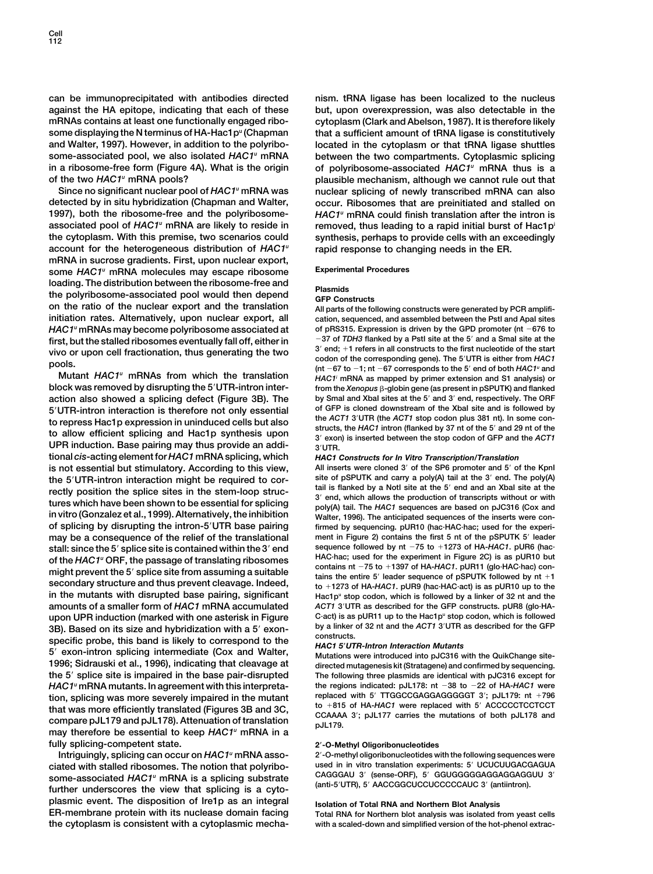**can be immunoprecipitated with antibodies directed nism. tRNA ligase has been localized to the nucleus against the HA epitope, indicating that each of these but, upon overexpression, was also detectable in the mRNAs contains at least one functionally engaged ribo- cytoplasm (Clark and Abelson, 1987). It is therefore likely some displaying the N terminus of HA-Hac1pu (Chapman that a sufficient amount of tRNA ligase is constitutively and Walter, 1997). However, in addition to the polyribo- located in the cytoplasm or that tRNA ligase shuttles some-associated pool, we also isolated** *HAC1u* **mRNA between the two compartments. Cytoplasmic splicing in a ribosome-free form (Figure 4A). What is the origin of polyribosome-associated** *HAC1u* **mRNA thus is a**

**detected by in situ hybridization (Chapman and Walter, occur. Ribosomes that are preinitiated and stalled on 1997), both the ribosome-free and the polyribosome-** *HAC1u* **mRNA could finish translation after the intron is associated pool of** *HAC1u* **mRNA are likely to reside in removed, thus leading to a rapid initial burst of Hac1pi the cytoplasm. With this premise, two scenarios could synthesis, perhaps to provide cells with an exceedingly account for the heterogeneous distribution of** *HAC1u* **rapid response to changing needs in the ER. mRNA in sucrose gradients. First, upon nuclear export, some** *HAC1u* **mRNA molecules may escape ribosome Experimental Procedures loading. The distribution between the ribosome-free and Plasmids the polyribosome-associated pool would then depend GFP Constructs on the ratio of the nuclear export and the translation All parts of the following constructs were generated by PCR amplifiinitiation rates. Alternatively, upon nuclear export, all cation, sequenced, and assembled between the PstI and ApaI sites** *HAC1* **of pRS315. Expression is driven by the GPD promoter (nt 676 to** *<sup>u</sup>* **mRNAs may become polyribosome associated at**

**block was removed by disrupting the 5'UTR-intron interaction also showed a splicing defect (Figure 3B). The by SmaI and XbaI sites at the 5<sup>***'***</sup> and 3<sup>***'***</sup> end, respectively. The ORF</sub><br><b>5<sup>'</sup>** ITD-introp interaction is therefore not only ossential of GFP is cloned downstream 5'UTR-intron interaction is therefore not only essential the ACT1 3'UTR (the ACT1 stop codon plus 381 nt). In some control of GFP is cloned downstream of the Xbal site and is followed by to repress Hac1p expression in uni **UPR induction. Base pairing may thus provide an addi- <sup>3</sup>UTR. tional** *cis***-acting element for** *HAC1* **mRNA splicing, which** *HAC1 Constructs for In Vitro Transcription/Translation* **is not essential but stimulatory. According to this view, All inserts were cloned 3 of the SP6 promoter and 5 of the KpnI** the 5'UTR-intron interaction might be required to cor-<br>rectly position the splice sites in the stem-loop struc-<br>tures which have been shown to be essential for splicing<br>in vitro (Gonzalez et al., 1999). Alternatively, the **may be a consequence of the relief of the translational ment in Figure 2) contains the first 5 nt of the pSPUTK 5 leader** stall: since the 5' splice site is contained within the 3' end<br>
HAC·hac: used for the experiment in Figure 2C) is as pUR10 but of the HAC1" ORF, the passage of translating ribosomes<br>might prevent the 5' splice site from assuming a suitable<br>secondary structure and thus prevent cleavage. Indeed,<br>to +1373 of HA-HAC1, pUR11 (glo-HAC-hac) con-<br>tains t in the mutants with disrupted base pairing, significant Hac1p<sup>u</sup> stop codon, which is followed by a linker of 32 nt and the **amounts of a smaller form of** *HAC1* **mRNA accumulated** *ACT1* **3UTR as described for the GFP constructs. pUR8 (glo·HA-Concombington UPR induction (marked with one asterisk in Figure** Cact) is as pUR11 up to the Hac1p<sup>u</sup> stop codon, which is followed<br> **2B)** Based on its size and by bridization with a 5' oxon- by a linker of 32 nt and the **by a linker of all** *Size* **and hybridization with a 5<sup>***'***</sup> exon-</sub> by a linker size and hybridization with a 5<sup>***'***</sup> exon**specific probe, this band is likely to correspond to the<br>5' exon-intron splicing intermediate (Cox and Walter,<br>1996; Sidrauski et al., 1996), indicating that cleavage at directed mutagenesis kit (Stratagene) and confirmed **the 5 splice site is impaired in the base pair-disrupted The following three plasmids are identical with pJC316 except for** *HAC1u* **mRNA mutants. In agreement with this interpreta- the regions indicated: pJL178: nt 38 to 22 of HA-***HAC1* **were** tion, splicing was more severely impaired in the mutant<br>that was more efficiently translated (Figures 3B and 3C,<br>compare pJL179 and pJL178). Attenuation of translation<br>may therefore be essential to keep  $HAC1^u$  mRNA in a<br> **fully splicing-competent state. 2-O-Methyl Oligoribonucleotides**

Intriguingly, splicing can occur on  $HAC1^u$  mRNA asso**ciated with stalled ribosomes. The notion that polyribo- used in in vitro translation experiments: 5 UCUCUUGACGAGUA** some-associated HAC1" mRNA is a splicing substrate CAGGGAU 3' (sense-ORF), 5' GGUGGGGGAGGAGGAGGAGG<br>further underscores the view that splicing is a cyto-<br>further underscores the view that splicing is a cyto**plasmic event. The disposition of Ire1p as an integral Isolation of Total RNA and Northern Blot Analysis ER-membrane protein with its nuclease domain facing Total RNA for Northern blot analysis was isolated from yeast cells the cytoplasm is consistent with a cytoplasmic mecha- with a scaled-down and simplified version of the hot-phenol extrac-**

**of the two** *HAC1u* **mRNA pools? plausible mechanism, although we cannot rule out that Since no significant nuclear pool of** *HAC1u* **mRNA was nuclear splicing of newly transcribed mRNA can also**

first, but the stalled ribosomes eventually fall off, either in  $-37$  of TDH3 flanked by a Pstl site at the 5' and a Smal site at the vivo or upon cell fractionation, thus generating the two  $3'$  end;  $+1$  refers in all c **Mutant** *HAC1u* **mRNAs from which the translation** *HAC1i* **mRNA as mapped by primer extension and S1 analysis) or** from the Xenopus  $\beta$ -globin gene (as present in pSPUTK) and flanked

firmed by sequencing. pUR10 (hac·HAC·hac; used for the experi**secondary structure and thus prevent cleavage. Indeed, to 1273 of HA-***HAC1***. pUR9 (hac·HAC·act) is as pUR10 up to the**

**1996; Sidrauski et al., 1996), indicating that cleavage at directed mutagenesis kit (Stratagene) and confirmed by sequencing.**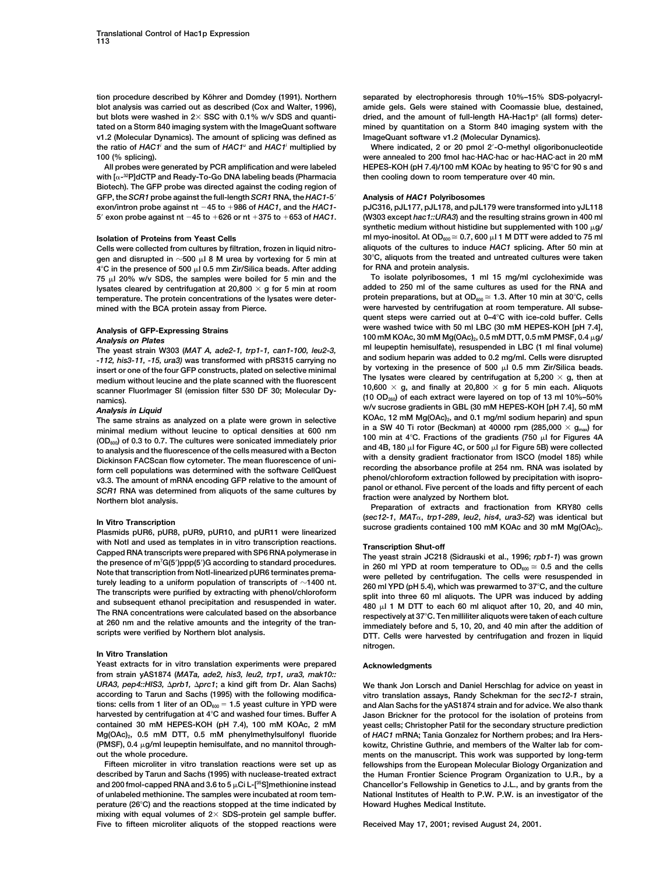**blot analysis was carried out as described (Cox and Walter, 1996), amide gels. Gels were stained with Coomassie blue, destained, tated on a Storm 840 imaging system with the ImageQuant software mined by quantitation on a Storm 840 imaging system with the v1.2 (Molecular Dynamics). The amount of splicing was defined as ImageQuant software v1.2 (Molecular Dynamics). the ratio of** *HAC1* **Where indicated, 2 or 20 pmol 2-O-methyl oligoribonucleotide** *<sup>i</sup>* **and the sum of** *HAC1u* **and** *HAC1i* **multiplied by**

**with [ -32P]dCTP and Ready-To-Go DNA labeling beads (Pharmacia then cooling down to room temperature over 40 min. Biotech). The GFP probe was directed against the coding region of GFP, the** *SCR1* **probe against the full-length** *SCR1* **RNA, the** *HAC1***-5 Analysis of** *HAC1* **Polyribosomes exon/intron probe against nt**  $-45$  to  $+986$  of *HAC1*, and the *HAC1*-<br>
pJC316, pJL177, pJL178, and pJL179 were transformed into yJL118

gen and disrupted in  $\sim$ 500  $\mu$ l 8 M urea by vortexing for 5 min at 30°C, aliquots from the treated and untreated cultures were taken<br>4°C in the presence of 500 ul 0.5 mm Zir/Silica beads. After adding for RNA and protei **4**°C in the presence of 500 μl 0.5 mm Zir/Silica beads. After adding for RNA and protein analysis.<br>75 μl 20% w/v SDS, the samples were boiled for 5 min and the **To isolate polyribosomes**, 1 ml 15 mg/ml cycloheximide was **temperature. The protein concentrations of the lysates were deter- protein preparations, but at OD600 1.3. After 10 min at 30C, cells**

scanner FluorImager SI (emission filter 530 DF 30; Molecular Dy-

(OD<sub>600</sub>) of 0.3 to 0.7. The cultures were sonicated immediately prior<br>to analysis and the fluorescence of the cells measured with a Becton<br>Dickinson FACScan flow cytometer. The mean fluorescence of uni-<br>Dickinson FACScan

In Vitro Transcription<br>Plasmids pUR6, pUR8, pUR9, pUR10, and pUR11 were linearized<br>with Notl and used as templates in in vitro transcription reactions. with Noti and used as templates in in vitro transcription reactions.<br>Capped RNA transcription Shut-off<br>the presence of m<sup>7</sup>G(5')ppp(5')G according to standard procedures.<br>the presence of m<sup>7</sup>G(5')ppp(5')G according to sta

### **In Vitro Translation**

**Yeast extracts for in vitro translation experiments were prepared Acknowledgments from strain yAS1874 (***MATa, ade2, his3, leu2, trp1, ura3, mak10:: URA3, pep4::HIS3, prb1, prc1***; a kind gift from Dr. Alan Sachs) We thank Jon Lorsch and Daniel Herschlag for advice on yeast in**

**perature (26C) and the reactions stopped at the time indicated by Howard Hughes Medical Institute. mixing with equal volumes of 2 SDS-protein gel sample buffer. Five to fifteen microliter aliquots of the stopped reactions were Received May 17, 2001; revised August 24, 2001.**

tion procedure described by Köhrer and Domdey (1991). Northern separated by electrophoresis through 10%–15% SDS-polyacryldried, and the amount of full-length HA-Hac1p<sup>u</sup> (all forms) deter-

**100 (% splicing). were annealed to 200 fmol hac·HAC·hac or hac·HAC·act in 20 mM All probes were generated by PCR amplification and were labeled HEPES-KOH (pH 7.4)/100 mM KOAc by heating to 95C for 90 s and**

**5 exon probe against nt 45 to 626 or nt 375 to 653 of** *HAC1***. (W303 except** *hac1::URA3***) and the resulting strains grown in 400 ml** synthetic medium without histidine but supplemented with  $100 \mu g$ / **ml myo-inositol. At OD<sub>600</sub>**  $\approx$  **0.7, 600**  $\mu$ 1 M DTT were added to 75 ml **Cells were collected from cultures by filtration, frozen in liquid nitro- aliquots of the cultures to induce** *HAC1* **splicing. After 50 min at**

**75 l 20% w/v SDS, the samples were boiled for 5 min and the To isolate polyribosomes, 1 ml 15 mg/ml cycloheximide was** lysates cleared by centrifugation at 20,800  $\times$  g for 5 min at room added to 250 ml of the same cultures as used for the RNA and temperature. The protein concentrations of the lysates were deter-<br>protein preparations, bu **mined with the BCA protein assay from Pierce. were harvested by centrifugation at room temperature. All subsequent steps were carried out at 0–4C with ice-cold buffer. Cells** Analysis of GFP-Expressing Strains<br>
Analysis on Plates<br>
The yeast strain W303 (MAT A, ade2-1, trp1-1, can1-100, leu2-3,<br>
The yeast strain W303 (MAT A, ade2-1, trp1-1, can1-100, leu2-3,<br>
-112, his3-11, -15, ura3) was trans **medium without leucine and the plate scanned with the fluorescent The lysates were cleared by centrifugation at 5,200 g, then at** namics). **<b>namics namics namics namics (10 OD<sub>260</sub>)** of each extract were layered on top of 13 ml 10%–50% w/v sucrose gradients in GBL (30 mM HEPES-KOH [pH 7.4], 50 mM<br>Analysis in Liquid<br>The same strains as analyzed on a plate were grown in selective KOAc, 12 mM Mg(OAc)<sub>2</sub>, and 0.1 mg/ml sodium heparin) and spun The same strains as analyzed on a plate were grown in selective<br>minimal medium without leucine to optical densities at 600 nm in a SW 40 Ti rotor (Beckman) at 40000 rpm (285,000 × 9<sub>mav</sub>) for<br>CD, let 0.3 The sultimes user

**(***sec12-1***,** *MAT*

die presence of in G(5 *)*ppp(5 *)*G according to standard procedures. in 260 ml YPD at room temperature to OD<sub>600</sub> ≤ 0.5 and the cells<br>Note that transcription from Notl-linearized pUR6 terminates prema-<br>wore polited by c Note that transcription from Notl-linearized pUR6 terminates prema-<br>turely leading to a uniform population of transcripts of  $\sim$ 1400 nt.<br>The transcripts were purified by extracting with phenol/chloroform<br>and subsequent e **nitrogen.**

**according to Tarun and Sachs (1995) with the following modifica- vitro translation assays, Randy Schekman for the** *sec12-1* **strain,** tions: cells from 1 liter of an OD<sub>600</sub> = 1.5 yeast culture in YPD were and Alan Sachs for the yAS1874 strain and for advice. We also thank<br>harvested by centrifugation at 4°C and washed four times. Buffer A Jason Brickner **harvested by centrifugation at 4C and washed four times. Buffer A Jason Brickner for the protocol for the isolation of proteins from contained 30 mM HEPES-KOH (pH 7.4), 100 mM KOAc, 2 mM yeast cells; Christopher Patil for the secondary structure prediction Mg(OAc)2, 0.5 mM DTT, 0.5 mM phenylmethylsulfonyl fluoride of** *HAC1* **mRNA; Tania Gonzalez for Northern probes; and Ira Hers- (PMSF), 0.4 g/ml leupeptin hemisulfate, and no mannitol through- kowitz, Christine Guthrie, and members of the Walter lab for comout the whole procedure. ments on the manuscript. This work was supported by long-term Fifteen microliter in vitro translation reactions were set up as fellowships from the European Molecular Biology Organization and** the Human Frontier Science Program Organization to U.R., by a **and 200 fmol-capped RNA and 3.6 to 5 Ci L-[35S]methionine instead Chancellor's Fellowship in Genetics to J.L., and by grants from the of unlabeled methionine. The samples were incubated at room tem- National Institutes of Health to P.W. P.W. is an investigator of the**